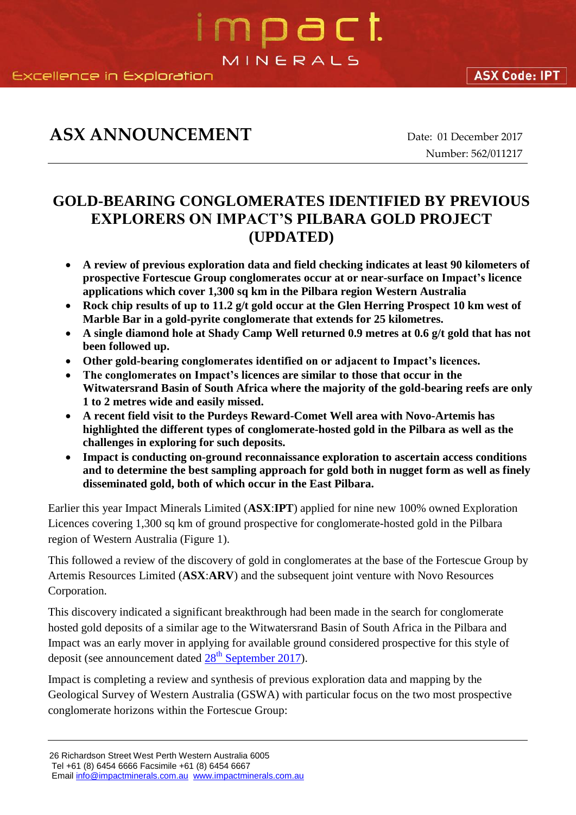### **ASX ANNOUNCEMENT** Date: 01 December 2017

Number: 562/011217

### **GOLD-BEARING CONGLOMERATES IDENTIFIED BY PREVIOUS EXPLORERS ON IMPACT'S PILBARA GOLD PROJECT (UPDATED)**

mpact.

MINERALS

- **A review of previous exploration data and field checking indicates at least 90 kilometers of prospective Fortescue Group conglomerates occur at or near-surface on Impact's licence applications which cover 1,300 sq km in the Pilbara region Western Australia**
- **Rock chip results of up to 11.2 g/t gold occur at the Glen Herring Prospect 10 km west of Marble Bar in a gold-pyrite conglomerate that extends for 25 kilometres.**
- **A single diamond hole at Shady Camp Well returned 0.9 metres at 0.6 g/t gold that has not been followed up.**
- **Other gold-bearing conglomerates identified on or adjacent to Impact's licences.**
- **The conglomerates on Impact's licences are similar to those that occur in the Witwatersrand Basin of South Africa where the majority of the gold-bearing reefs are only 1 to 2 metres wide and easily missed.**
- **A recent field visit to the Purdeys Reward-Comet Well area with Novo-Artemis has highlighted the different types of conglomerate-hosted gold in the Pilbara as well as the challenges in exploring for such deposits.**
- **Impact is conducting on-ground reconnaissance exploration to ascertain access conditions and to determine the best sampling approach for gold both in nugget form as well as finely disseminated gold, both of which occur in the East Pilbara.**

Earlier this year Impact Minerals Limited (**ASX**:**IPT**) applied for nine new 100% owned Exploration Licences covering 1,300 sq km of ground prospective for conglomerate-hosted gold in the Pilbara region of Western Australia (Figure 1).

This followed a review of the discovery of gold in conglomerates at the base of the Fortescue Group by Artemis Resources Limited (**ASX**:**ARV**) and the subsequent joint venture with Novo Resources Corporation.

This discovery indicated a significant breakthrough had been made in the search for conglomerate hosted gold deposits of a similar age to the Witwatersrand Basin of South Africa in the Pilbara and Impact was an early mover in applying for available ground considered prospective for this style of deposit (see announcement dated  $28<sup>th</sup>$  [September 2017\)](http://impactminerals.com.au/impact/wp-content/uploads/2017/09/546_280917-Pilbara-Gold-Project.pdf).

Impact is completing a review and synthesis of previous exploration data and mapping by the Geological Survey of Western Australia (GSWA) with particular focus on the two most prospective conglomerate horizons within the Fortescue Group:

**ASX Code: IPT** 

<sup>26</sup> Richardson Street West Perth Western Australia 6005 Tel +61 (8) 6454 6666 Facsimile +61 (8) 6454 6667

Emai[l info@impactminerals.com.au](mailto:info@impactminerals.com.au) [www.impactminerals.com.au](http://www.impactminerals.com.au/)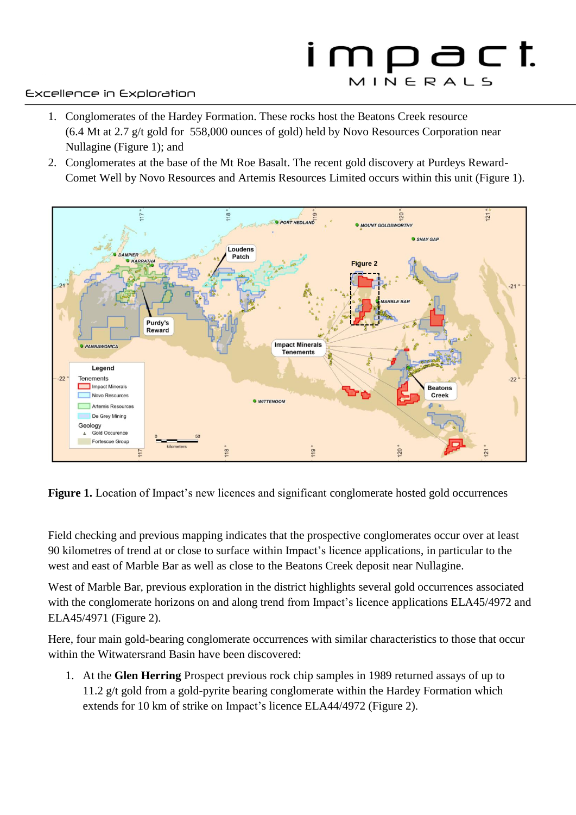# impact MINERALS

#### Excellence in Exploration

- 1. Conglomerates of the Hardey Formation. These rocks host the Beatons Creek resource (6.4 Mt at 2.7 g/t gold for 558,000 ounces of gold) held by Novo Resources Corporation near Nullagine (Figure 1); and
- 2. Conglomerates at the base of the Mt Roe Basalt. The recent gold discovery at Purdeys Reward-Comet Well by Novo Resources and Artemis Resources Limited occurs within this unit (Figure 1).



**Figure 1.** Location of Impact's new licences and significant conglomerate hosted gold occurrences

Field checking and previous mapping indicates that the prospective conglomerates occur over at least 90 kilometres of trend at or close to surface within Impact's licence applications, in particular to the west and east of Marble Bar as well as close to the Beatons Creek deposit near Nullagine.

West of Marble Bar, previous exploration in the district highlights several gold occurrences associated with the conglomerate horizons on and along trend from Impact's licence applications ELA45/4972 and ELA45/4971 (Figure 2).

Here, four main gold-bearing conglomerate occurrences with similar characteristics to those that occur within the Witwatersrand Basin have been discovered:

1. At the **Glen Herring** Prospect previous rock chip samples in 1989 returned assays of up to 11.2 g/t gold from a gold-pyrite bearing conglomerate within the Hardey Formation which extends for 10 km of strike on Impact's licence ELA44/4972 (Figure 2).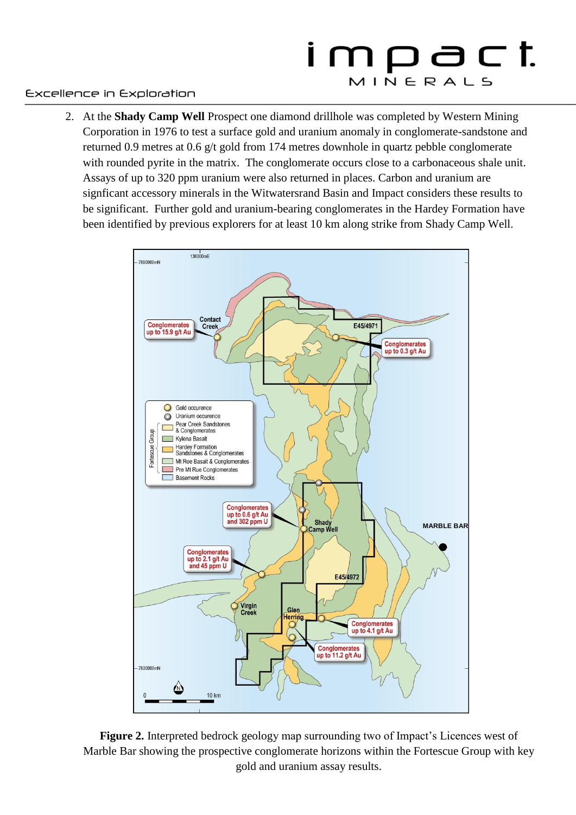# impact MINERALS

#### Excellence in Exploration

2. At the **Shady Camp Well** Prospect one diamond drillhole was completed by Western Mining Corporation in 1976 to test a surface gold and uranium anomaly in conglomerate-sandstone and returned 0.9 metres at 0.6 g/t gold from 174 metres downhole in quartz pebble conglomerate with rounded pyrite in the matrix. The conglomerate occurs close to a carbonaceous shale unit. Assays of up to 320 ppm uranium were also returned in places. Carbon and uranium are signficant accessory minerals in the Witwatersrand Basin and Impact considers these results to be significant. Further gold and uranium-bearing conglomerates in the Hardey Formation have been identified by previous explorers for at least 10 km along strike from Shady Camp Well.



**Figure 2.** Interpreted bedrock geology map surrounding two of Impact's Licences west of Marble Bar showing the prospective conglomerate horizons within the Fortescue Group with key gold and uranium assay results.